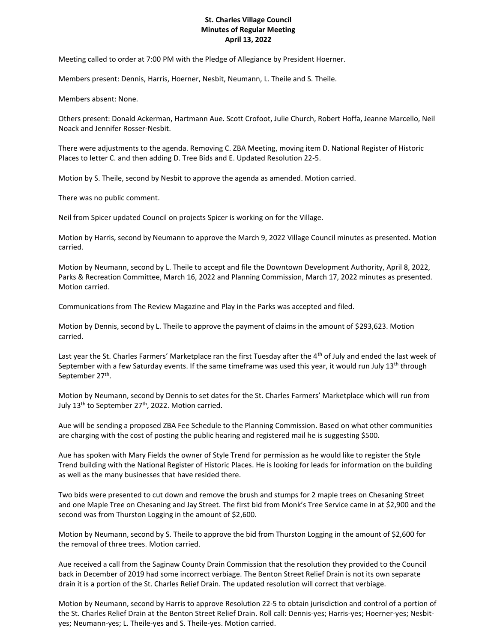## **St. Charles Village Council Minutes of Regular Meeting April 13, 2022**

Meeting called to order at 7:00 PM with the Pledge of Allegiance by President Hoerner.

Members present: Dennis, Harris, Hoerner, Nesbit, Neumann, L. Theile and S. Theile.

Members absent: None.

Others present: Donald Ackerman, Hartmann Aue. Scott Crofoot, Julie Church, Robert Hoffa, Jeanne Marcello, Neil Noack and Jennifer Rosser-Nesbit.

There were adjustments to the agenda. Removing C. ZBA Meeting, moving item D. National Register of Historic Places to letter C. and then adding D. Tree Bids and E. Updated Resolution 22-5.

Motion by S. Theile, second by Nesbit to approve the agenda as amended. Motion carried.

There was no public comment.

Neil from Spicer updated Council on projects Spicer is working on for the Village.

Motion by Harris, second by Neumann to approve the March 9, 2022 Village Council minutes as presented. Motion carried.

Motion by Neumann, second by L. Theile to accept and file the Downtown Development Authority, April 8, 2022, Parks & Recreation Committee, March 16, 2022 and Planning Commission, March 17, 2022 minutes as presented. Motion carried.

Communications from The Review Magazine and Play in the Parks was accepted and filed.

Motion by Dennis, second by L. Theile to approve the payment of claims in the amount of \$293,623. Motion carried.

Last year the St. Charles Farmers' Marketplace ran the first Tuesday after the 4<sup>th</sup> of July and ended the last week of September with a few Saturday events. If the same timeframe was used this year, it would run July 13<sup>th</sup> through September 27<sup>th</sup>.

Motion by Neumann, second by Dennis to set dates for the St. Charles Farmers' Marketplace which will run from July 13<sup>th</sup> to September 27<sup>th</sup>, 2022. Motion carried.

Aue will be sending a proposed ZBA Fee Schedule to the Planning Commission. Based on what other communities are charging with the cost of posting the public hearing and registered mail he is suggesting \$500.

Aue has spoken with Mary Fields the owner of Style Trend for permission as he would like to register the Style Trend building with the National Register of Historic Places. He is looking for leads for information on the building as well as the many businesses that have resided there.

Two bids were presented to cut down and remove the brush and stumps for 2 maple trees on Chesaning Street and one Maple Tree on Chesaning and Jay Street. The first bid from Monk's Tree Service came in at \$2,900 and the second was from Thurston Logging in the amount of \$2,600.

Motion by Neumann, second by S. Theile to approve the bid from Thurston Logging in the amount of \$2,600 for the removal of three trees. Motion carried.

Aue received a call from the Saginaw County Drain Commission that the resolution they provided to the Council back in December of 2019 had some incorrect verbiage. The Benton Street Relief Drain is not its own separate drain it is a portion of the St. Charles Relief Drain. The updated resolution will correct that verbiage.

Motion by Neumann, second by Harris to approve Resolution 22-5 to obtain jurisdiction and control of a portion of the St. Charles Relief Drain at the Benton Street Relief Drain. Roll call: Dennis-yes; Harris-yes; Hoerner-yes; Nesbityes; Neumann-yes; L. Theile-yes and S. Theile-yes. Motion carried.